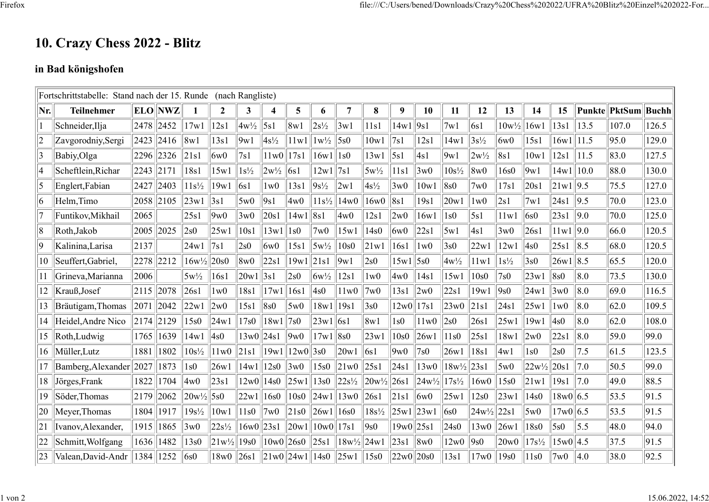## 10. Crazy Chess 2022 - Blitz

## in Bad königshofen

|              | Fortschrittstabelle: Stand nach der 15. Runde |            |            |                  |                  | (nach Rangliste) |                 |                    |                 |                        |                    |              |                                  |                       |                   |                  |                  |             |         |                |              |
|--------------|-----------------------------------------------|------------|------------|------------------|------------------|------------------|-----------------|--------------------|-----------------|------------------------|--------------------|--------------|----------------------------------|-----------------------|-------------------|------------------|------------------|-------------|---------|----------------|--------------|
| Nr.          | <b>Teilnehmer</b>                             | <b>ELO</b> | <b>NWZ</b> |                  | $\boldsymbol{2}$ | 3                | 4               | 5                  | 6               | $\overline{7}$         | 8                  | 9            | 10                               | 11                    | 12                | 13               | 14               | 15          |         | Punkte  PktSum | <b>Buchh</b> |
|              | Schneider, Ilja                               | 2478       | 2452       | 17w1             | 12s1             | $4w^{1/2}$       | 5s1             | 8w1                | $2s^{1/2}$      | 3w1                    | 11s1               | 14w1         | 9s1                              | 7w1                   | 6s1               | $10w\frac{1}{2}$ | 16w1             | 13s1        | 13.5    | 107.0          | 126.5        |
| 2            | Zavgorodniy, Sergi                            | 2423       | 2416       | $ 8\mathrm{w}1$  | 13s1             | 9w1              | $4s\frac{1}{2}$ | 11w1               | $1w\frac{1}{2}$ | $\vert$ 5s0            | 10w1               | 7s1          | 12s1                             | 14w1                  | $3s^{1/2}$        | 6w0              | 15s1             | 16w1        | 11.5    | 95.0           | 129.0        |
| $\vert$ 3    | Babiy, Olga                                   | 2296       | 2326       | 21s1             | 6w0              | 7s1              | 11w0            | 17s1               | 16w1            | $\vert$ 1s0            | 13w1               | $\vert$ 5s1  | 4s1                              | 9w1                   | $2w\frac{1}{2}$   | 8s1              | 10w1             | 12s1        | 11.5    | 83.0           | 127.5        |
| 4            | Scheftlein, Richar                            | 2243       | 2171       | 18s1             | 15w1             | $1s\frac{1}{2}$  | $2w\frac{1}{2}$ | 6s1                | 12w1            | 7s1                    | $5w\frac{1}{2}$    | 11s1         | 3w0                              | $10s\frac{1}{2}$      | 8w0               | 16s0             | 9w1              | 14w1        | 10.0    | 88.0           | 130.0        |
| 5            | Englert, Fabian                               | 2427       | 2403       | $11s\frac{1}{2}$ | 19w1             | 6s1              | 1w0             | 13s1               | $9s^{1/2}$      | 2w1                    | $4s\frac{1}{2}$    | 3w0          | 10w1                             | 8s0                   | 7w0               | 17s1             | 20s1             | 21w1   9.5  |         | 75.5           | 127.0        |
| 16           | Helm, Timo                                    | 2058       | 2105       | 23w1             | 3s1              | 5w0              | 9s1             | 4w0                | $11s^{1/2}$     | 14w0                   | 16w0               | 8s1          | 19s1                             | 20w1                  | 1w0               | 2s1              | 7w1              | 24s1        | 9.5     | 70.0           | 123.0        |
|              | Funtikov, Mikhail                             | 2065       |            | 25s1             | 9w0              | 3w0              | 20s1            | 14w1               | 8s1             | 4w0                    | 12s1               | 2w0          | 16w1                             | 1s0                   | 5s1               | 11w1             | 6s0              | 23s1        | 9.0     | 70.0           | 125.0        |
| 8            | Roth, Jakob                                   | 2005       | 2025       | 2s0              | 25w1             | 10s1             | 13w1            | 1s0                | 7w0             | 15w1                   | 14s0               | 6w0          | 22s1                             | 5w1                   | 4s1               | 3w0              | 26s1             | 11w1        | 9.0     | 66.0           | 120.5        |
| 9            | Kalinina, Larisa                              | 2137       |            | 24w1             | 7s1              | 2s0              | 6w0             | 15s1               | $5w\frac{1}{2}$ | 10s0                   | 21w1               | 16s1         | 1w0                              | 3s0                   | 22w1              | 12w1             | 4s0              | 25s1        | $\ 8.5$ | 68.0           | 120.5        |
| 10           | Seuffert, Gabriel,                            | 2278       | 2212       | $16w\frac{1}{2}$ | 20s0             | 8w0              | 22s1            | 19w1               | $\ 21s1$        | 9w1                    | 2s0                | 15w1         | $\vert$ 5s0                      | $4w^{1/2}$            | 11w1              | $1s\frac{1}{2}$  | 3s0              | 26w1 8.5    |         | 65.5           | 120.0        |
| 11           | Grineva, Marianna                             | 2006       |            | $5w\frac{1}{2}$  | 16s1             | 20w1             | 3s1             | 2s0                | $6w\frac{1}{2}$ | 12s1                   | 1w0                | 4w0          | 14s1                             | 15w1                  | 10s0              | 7s0              | 23w1             | 8s0         | 8.0     | 73.5           | 130.0        |
| 12           | Krauß, Josef                                  | 2115       | 2078       | 26s1             | 1w0              | 18s1             | 17w1            | 16s1               | 4s0             | 11w0                   | 7w0                | 13s1         | 2w0                              | 22s1                  | 19w1              | 9s0              | 24w1             | 3w0         | 8.0     | 69.0           | 116.5        |
| 13           | Bräutigam, Thomas                             | 2071       | 2042       | 22w1             | 2w0              | 15s1             | 8s0             | 5w0                | 18w1            | 19s1                   | 3s0                | 12w0         | 17s1                             | 23w0                  | 21s1              | 24s1             | 25w1             | 1w0         | 8.0     | 62.0           | 109.5        |
| 14           | Heidel, Andre Nico                            | 2174       | 2129       | 15s0             | 24w1             | 17s0             | 18w1            | 7s0                | 23w1            | $\vert$ 6s1            | 8w1                | 1s0          | 11w0                             | $\sqrt{2s0}$          | 26s1              | 25w1             | 19w1             | 4s0         | 8.0     | 62.0           | 108.0        |
| 15           | Roth, Ludwig                                  | 1765       | 1639       | 14w1             | 4s0              | 13w0  24s1       |                 | 9w0                | 17w1            | 8s0                    | 23w1               | 10s0         | 26w1                             | 11s0                  | 25s1              | 18w1             | $\ 2w0$          | 22s1        | 8.0     | 59.0           | 99.0         |
| 16           | Müller, Lutz                                  | 1881       | 1802       | $10s\frac{1}{2}$ | 11w0             | 21s1             | 19w1            | $12w0$   3s0       |                 | 20w1                   | $\sqrt{6s}$        | 9w0          | 7s0                              | 26w1                  | 18s1              | 4w1              | 1s0              | 2s0         | 7.5     | 61.5           | 123.5        |
| 17           | Bamberg, Alexander 2027                       |            | 1873       | 1s0              | 26w1             | 14w1             | 12s0            | 3w0                | 15s0            | 21w0                   | $\vert 25s1 \vert$ | 24s1         | 13w0                             | $18w\frac{1}{2}$ 23s1 |                   | 5w0              | $22w^{1/2}$      | 20s1        | 7.0     | 50.5           | 99.0         |
| 18           | Jörges, Frank                                 | 1822       | 1704       | 4w0              | 23s1             | 12w0             | 14s0            | 25w1               | 13s0            | $ 22s^{1/2} $          | 20w/2 26s1         |              | $ 24w\frac{1}{2} 17s\frac{1}{2}$ |                       | 16w <sub>0</sub>  | 15s0             | 21w1             | 19s1        | 7.0     | 49.0           | 88.5         |
| 19           | Söder, Thomas                                 | 2179       | 2062       | 20w/2            | 5s0              | 22w1             | 16s0            | 10s0               | 24w1            | 13w0                   | 26s1               | 21s1         | 6w0                              | 25w1                  | 12s0              | 23w1             | 14s0             | 18w0 6.5    |         | 53.5           | 91.5         |
| 20           | Meyer, Thomas                                 | 1804       | 1917       | $19s^{1/2}$      | 10w1             | 11s0             | 7w0             | 21s0               | 26w1            | 16s0                   | $18s\frac{1}{2}$   | $25w1$ 23w1  |                                  | 6s0                   | $24w^{1/2}$  22s1 |                  | 5w0              | 17w0 6.5    |         | 53.5           | 91.5         |
| 21           | Ivanov, Alexander,                            | 1915       | 1865       | 3w0              | $22s^{1/2}$      | $16w0$  23s1     |                 | $\vert 20w1 \vert$ | $\ 10w0\ 17s1$  |                        | 9s0                | $19w0$  25s1 |                                  | 24s0                  | $13w0$  26w1      |                  | 18s0             | 5s0         | 5.5     | 48.0           | 94.0         |
| 22           | Schmitt, Wolfgang                             | 1636       | 1482       | 13s0             | $21w^{1/2}$      | 19s0             | 10w0            | 26s0               | 25s1            | $18w\frac{1}{2}$  24w1 |                    | 23s1         | $\ 8w0$                          | 12w0                  | 9s0               | 20w0             | $17s\frac{1}{2}$ | $15w0$  4.5 |         | 37.5           | 91.5         |
| $ 23\rangle$ | Valean, David-Andr                            | 1384       | 1252       | $\sqrt{6s}$      | 18w0             | 26s1             |                 | 21w0  24w1  14s0   |                 | 25w1                   | 15s0               | 22w0 20s0    |                                  | 13s1                  | 17w0              | 19s0             | 11s0             | 7w0         | 4.0     | 38.0           | 92.5         |